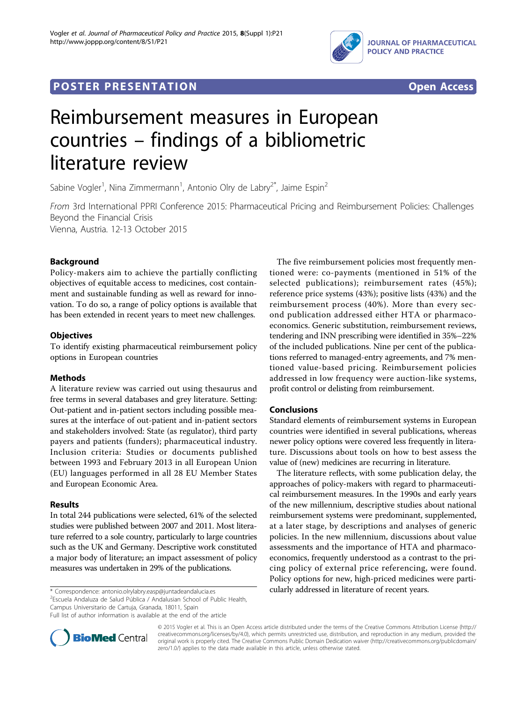

## **POSTER PRESENTATION CONSUMING THE SERVICE SERVICE SERVICES**



# Reimbursement measures in European countries – findings of a bibliometric literature review

Sabine Vogler<sup>1</sup>, Nina Zimmermann<sup>1</sup>, Antonio Olry de Labry<sup>2\*</sup>, Jaime Espin<sup>2</sup>

From 3rd International PPRI Conference 2015: Pharmaceutical Pricing and Reimbursement Policies: Challenges Beyond the Financial Crisis Vienna, Austria. 12-13 October 2015

Background

Policy-makers aim to achieve the partially conflicting objectives of equitable access to medicines, cost containment and sustainable funding as well as reward for innovation. To do so, a range of policy options is available that has been extended in recent years to meet new challenges.

## **Objectives**

To identify existing pharmaceutical reimbursement policy options in European countries

## Methods

A literature review was carried out using thesaurus and free terms in several databases and grey literature. Setting: Out-patient and in-patient sectors including possible measures at the interface of out-patient and in-patient sectors and stakeholders involved: State (as regulator), third party payers and patients (funders); pharmaceutical industry. Inclusion criteria: Studies or documents published between 1993 and February 2013 in all European Union (EU) languages performed in all 28 EU Member States and European Economic Area.

## Results

In total 244 publications were selected, 61% of the selected studies were published between 2007 and 2011. Most literature referred to a sole country, particularly to large countries such as the UK and Germany. Descriptive work constituted a major body of literature; an impact assessment of policy measures was undertaken in 29% of the publications.

\* Correspondence: [antonio.olrylabry.easp@juntadeandalucia.es](mailto:antonio.olrylabry.easp@juntadeandalucia.es) cularly addressed in literature of recent years. 2 Escuela Andaluza de Salud Pública / Andalusian School of Public Health, Campus Universitario de Cartuja, Granada, 18011, Spain

Full list of author information is available at the end of the article

The five reimbursement policies most frequently mentioned were: co-payments (mentioned in 51% of the selected publications); reimbursement rates (45%); reference price systems (43%); positive lists (43%) and the reimbursement process (40%). More than every second publication addressed either HTA or pharmacoeconomics. Generic substitution, reimbursement reviews, tendering and INN prescribing were identified in 35%–22% of the included publications. Nine per cent of the publications referred to managed-entry agreements, and 7% mentioned value-based pricing. Reimbursement policies addressed in low frequency were auction-like systems, profit control or delisting from reimbursement.

## Conclusions

Standard elements of reimbursement systems in European countries were identified in several publications, whereas newer policy options were covered less frequently in literature. Discussions about tools on how to best assess the value of (new) medicines are recurring in literature.

The literature reflects, with some publication delay, the approaches of policy-makers with regard to pharmaceutical reimbursement measures. In the 1990s and early years of the new millennium, descriptive studies about national reimbursement systems were predominant, supplemented, at a later stage, by descriptions and analyses of generic policies. In the new millennium, discussions about value assessments and the importance of HTA and pharmacoeconomics, frequently understood as a contrast to the pricing policy of external price referencing, were found. Policy options for new, high-priced medicines were parti-



© 2015 Vogler et al. This is an Open Access article distributed under the terms of the Creative Commons Attribution License [\(http://](http://creativecommons.org/licenses/by/4.0) [creativecommons.org/licenses/by/4.0](http://creativecommons.org/licenses/by/4.0)), which permits unrestricted use, distribution, and reproduction in any medium, provided the original work is properly cited. The Creative Commons Public Domain Dedication waiver ([http://creativecommons.org/publicdomain/](http://creativecommons.org/publicdomain/zero/1.0/) [zero/1.0/](http://creativecommons.org/publicdomain/zero/1.0/)) applies to the data made available in this article, unless otherwise stated.